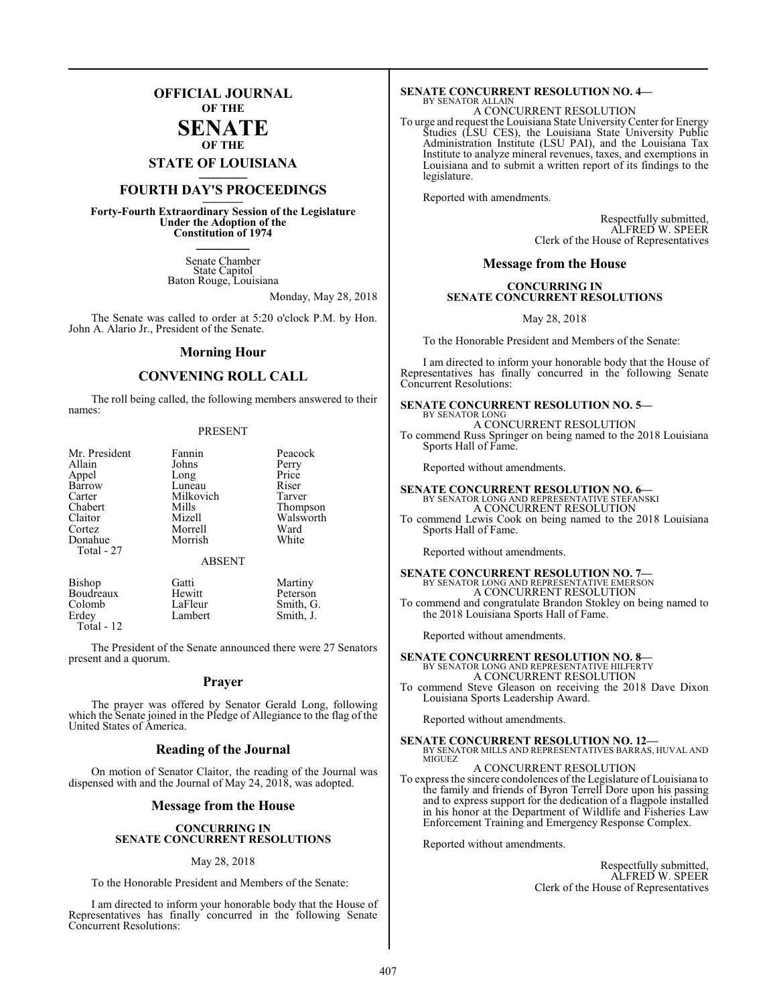### **OFFICIAL JOURNAL OF THE**

#### **SENATE OF THE**

**STATE OF LOUISIANA \_\_\_\_\_\_\_**

### **FOURTH DAY'S PROCEEDINGS \_\_\_\_\_\_\_**

**Forty-Fourth Extraordinary Session of the Legislature Under the Adoption of the Constitution of 1974 \_\_\_\_\_\_\_**

> Senate Chamber State Capitol Baton Rouge, Louisiana

> > Monday, May 28, 2018

The Senate was called to order at 5:20 o'clock P.M. by Hon. John A. Alario Jr., President of the Senate.

#### **Morning Hour**

#### **CONVENING ROLL CALL**

The roll being called, the following members answered to their names:

#### PRESENT

| Mr. President | Fannin        | Peacock   |
|---------------|---------------|-----------|
| Allain        | Johns         | Perry     |
| Appel         | Long          | Price     |
| Barrow        | Luneau        | Riser     |
| Carter        | Milkovich     | Tarver    |
| Chabert       | Mills         | Thompson  |
| Claitor       | Mizell        | Walsworth |
| Cortez        | Morrell       | Ward      |
| Donahue       | Morrish       | White     |
| Total - 27    | <b>ABSENT</b> |           |
| <b>Bishop</b> | Gatti         | Martiny   |
| Boudreaux     | Hewitt        | Peterson  |
| Colomb        | LaFleur       | Smith G   |

 Total - 12 The President of the Senate announced there were 27 Senators present and a quorum.

Colomb LaFleur Smith, G.<br>Erdey Lambert Smith, J. Lambert

#### **Prayer**

The prayer was offered by Senator Gerald Long, following which the Senate joined in the Pledge of Allegiance to the flag of the United States of America.

#### **Reading of the Journal**

On motion of Senator Claitor, the reading of the Journal was dispensed with and the Journal of May 24, 2018, was adopted.

#### **Message from the House**

#### **CONCURRING IN SENATE CONCURRENT RESOLUTIONS**

#### May 28, 2018

To the Honorable President and Members of the Senate:

I am directed to inform your honorable body that the House of Representatives has finally concurred in the following Senate Concurrent Resolutions:

#### **SENATE CONCURRENT RESOLUTION NO. 4—** BY SENATOR ALLAIN

A CONCURRENT RESOLUTION To urge and request the Louisiana State UniversityCenter for Energy

Studies (LSU CES), the Louisiana State University Public Administration Institute (LSU PAI), and the Louisiana Tax Institute to analyze mineral revenues, taxes, and exemptions in Louisiana and to submit a written report of its findings to the legislature.

Reported with amendments.

Respectfully submitted, ALFRED W. SPEER Clerk of the House of Representatives

#### **Message from the House**

#### **CONCURRING IN SENATE CONCURRENT RESOLUTIONS**

May 28, 2018

To the Honorable President and Members of the Senate:

I am directed to inform your honorable body that the House of Representatives has finally concurred in the following Senate Concurrent Resolutions:

#### **SENATE CONCURRENT RESOLUTION NO. 5—** BY SENATOR LONG

A CONCURRENT RESOLUTION To commend Russ Springer on being named to the 2018 Louisiana Sports Hall of Fame.

Reported without amendments.

### **SENATE CONCURRENT RESOLUTION NO. 6—**<br>BY SENATOR LONG AND REPRESENTATIVE STEFANSKI

A CONCURRENT RESOLUTION

To commend Lewis Cook on being named to the 2018 Louisiana Sports Hall of Fame.

Reported without amendments.

# **SENATE CONCURRENT RESOLUTION NO. 7—**<br>BY SENATOR LONG AND REPRESENTATIVE EMERSON<br>A CONCURRENT RESOLUTION

To commend and congratulate Brandon Stokley on being named to the 2018 Louisiana Sports Hall of Fame.

Reported without amendments.

### **SENATE CONCURRENT RESOLUTION NO. 8—** BY SENATOR LONG AND REPRESENTATIVE HILFERTY

A CONCURRENT RESOLUTION

To commend Steve Gleason on receiving the 2018 Dave Dixon Louisiana Sports Leadership Award.

Reported without amendments.

**SENATE CONCURRENT RESOLUTION NO. 12—**<br>BY SENATOR MILLS AND REPRESENTATIVES BARRAS, HUVAL AND<br>MIGUEZ

#### A CONCURRENT RESOLUTION

To express the sincere condolences of the Legislature of Louisiana to the family and friends of Byron Terrell Dore upon his passing and to express support for the dedication of a flagpole installed in his honor at the Department of Wildlife and Fisheries Law Enforcement Training and Emergency Response Complex.

Reported without amendments.

Respectfully submitted, ALFRED W. SPEER Clerk of the House of Representatives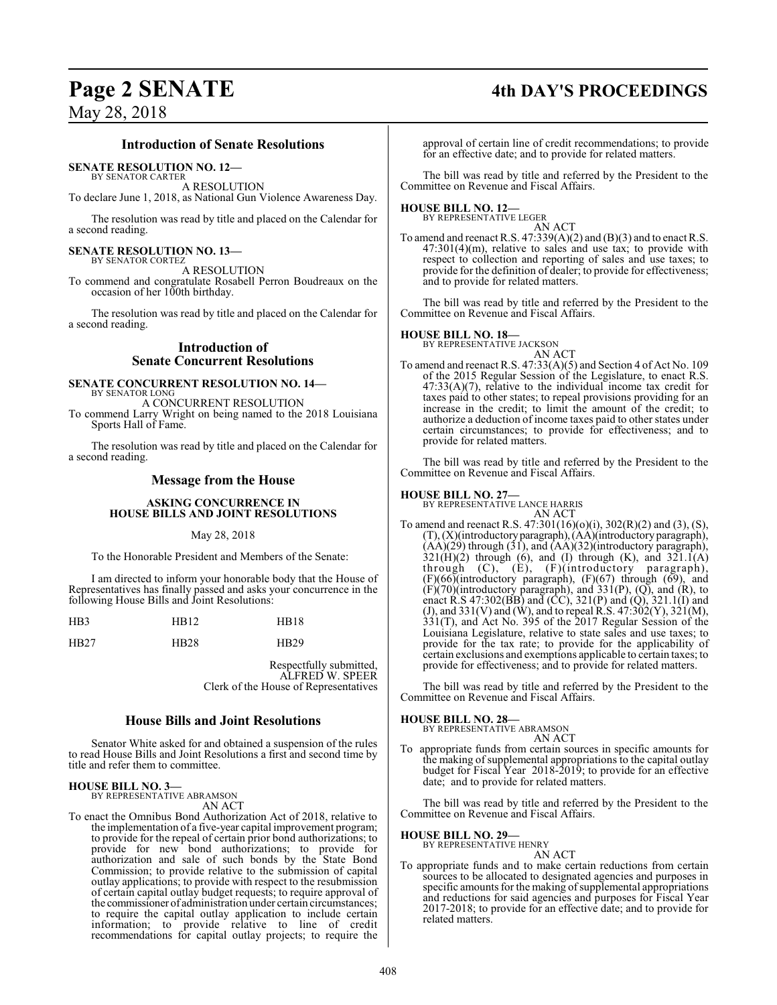### **Page 2 SENATE 4th DAY'S PROCEEDINGS**

May 28, 2018

#### **Introduction of Senate Resolutions**

#### **SENATE RESOLUTION NO. 12—**

BY SENATOR CARTER A RESOLUTION

To declare June 1, 2018, as National Gun Violence Awareness Day.

The resolution was read by title and placed on the Calendar for a second reading.

#### **SENATE RESOLUTION NO. 13—**

BY SENATOR CORTEZ A RESOLUTION

To commend and congratulate Rosabell Perron Boudreaux on the occasion of her 100th birthday.

The resolution was read by title and placed on the Calendar for a second reading.

#### **Introduction of Senate Concurrent Resolutions**

#### **SENATE CONCURRENT RESOLUTION NO. 14—** BY SENATOR LONG

A CONCURRENT RESOLUTION

To commend Larry Wright on being named to the 2018 Louisiana Sports Hall of Fame.

The resolution was read by title and placed on the Calendar for a second reading.

#### **Message from the House**

#### **ASKING CONCURRENCE IN HOUSE BILLS AND JOINT RESOLUTIONS**

#### May 28, 2018

To the Honorable President and Members of the Senate:

I am directed to inform your honorable body that the House of Representatives has finally passed and asks your concurrence in the following House Bills and Joint Resolutions:

| H <sub>B</sub> 3 | HB12             | <b>HB18</b>      |
|------------------|------------------|------------------|
| HB27             | HB <sub>28</sub> | H <sub>R29</sub> |

Respectfully submitted, ALFRED W. SPEER Clerk of the House of Representatives

#### **House Bills and Joint Resolutions**

Senator White asked for and obtained a suspension of the rules to read House Bills and Joint Resolutions a first and second time by title and refer them to committee.

#### **HOUSE BILL NO. 3—**

BY REPRESENTATIVE ABRAMSON AN ACT

To enact the Omnibus Bond Authorization Act of 2018, relative to the implementation of a five-year capital improvement program; to provide for the repeal of certain prior bond authorizations; to provide for new bond authorizations; to provide for authorization and sale of such bonds by the State Bond Commission; to provide relative to the submission of capital outlay applications; to provide with respect to the resubmission of certain capital outlay budget requests; to require approval of the commissioner of administration under certain circumstances; to require the capital outlay application to include certain information; to provide relative to line of credit recommendations for capital outlay projects; to require the

approval of certain line of credit recommendations; to provide for an effective date; and to provide for related matters.

The bill was read by title and referred by the President to the Committee on Revenue and Fiscal Affairs.

### **HOUSE BILL NO. 12—** BY REPRESENTATIVE LEGER

AN ACT

To amend and reenact R.S. 47:339(A)(2) and (B)(3) and to enact R.S. 47:301(4)(m), relative to sales and use tax; to provide with respect to collection and reporting of sales and use taxes; to provide for the definition of dealer; to provide for effectiveness; and to provide for related matters.

The bill was read by title and referred by the President to the Committee on Revenue and Fiscal Affairs.

#### **HOUSE BILL NO. 18—**

BY REPRESENTATIVE JACKSON AN ACT

To amend and reenact R.S. 47:33(A)(5) and Section 4 of Act No. 109 of the 2015 Regular Session of the Legislature, to enact R.S.  $47:33(A)(7)$ , relative to the individual income tax credit for taxes paid to other states; to repeal provisions providing for an increase in the credit; to limit the amount of the credit; to authorize a deduction of income taxes paid to other states under certain circumstances; to provide for effectiveness; and to provide for related matters.

The bill was read by title and referred by the President to the Committee on Revenue and Fiscal Affairs.

#### **HOUSE BILL NO. 27—**

BY REPRESENTATIVE LANCE HARRIS

AN ACT To amend and reenact R.S. 47:301(16)(o)(i), 302(R)(2) and (3), (S), (T), (X)(introductoryparagraph),(AA)(introductory paragraph),  $(AA)(29)$  through  $(31)$ , and  $(AA)(32)$ (introductory paragraph),  $321(\hat{H})(2)$  through (6), and (I) through (K), and  $321.1(A)$  through (C), (E), (F)(introductory paragraph), through  $(C)$ ,  $(E)$ ,  $(F)$ (introductory  $(F)(66)$ (introductory paragraph),  $(F)(67)$  through  $(69)$ , and  $(F)(70)$ (introductory paragraph), and  $331(P)$ ,  $(Q)$ , and  $(R)$ , to enact R.S 47:302(BB) and (CC), 321(P) and (Q), 321.1(I) and (J), and  $331(V)$  and (W), and to repeal R.S.  $47:302(Y)$ ,  $321(M)$ , 331(T), and Act No. 395 of the 2017 Regular Session of the Louisiana Legislature, relative to state sales and use taxes; to provide for the tax rate; to provide for the applicability of certain exclusions and exemptions applicable to certain taxes; to provide for effectiveness; and to provide for related matters.

The bill was read by title and referred by the President to the Committee on Revenue and Fiscal Affairs.

#### **HOUSE BILL NO. 28—**

BY REPRESENTATIVE ABRAMSON

AN ACT To appropriate funds from certain sources in specific amounts for the making of supplemental appropriations to the capital outlay budget for Fiscal Year 2018-2019; to provide for an effective date; and to provide for related matters.

The bill was read by title and referred by the President to the Committee on Revenue and Fiscal Affairs.

### **HOUSE BILL NO. 29—**

BY REPRESENTATIVE HENRY AN ACT

To appropriate funds and to make certain reductions from certain sources to be allocated to designated agencies and purposes in specific amounts for the making of supplemental appropriations and reductions for said agencies and purposes for Fiscal Year 2017-2018; to provide for an effective date; and to provide for related matters.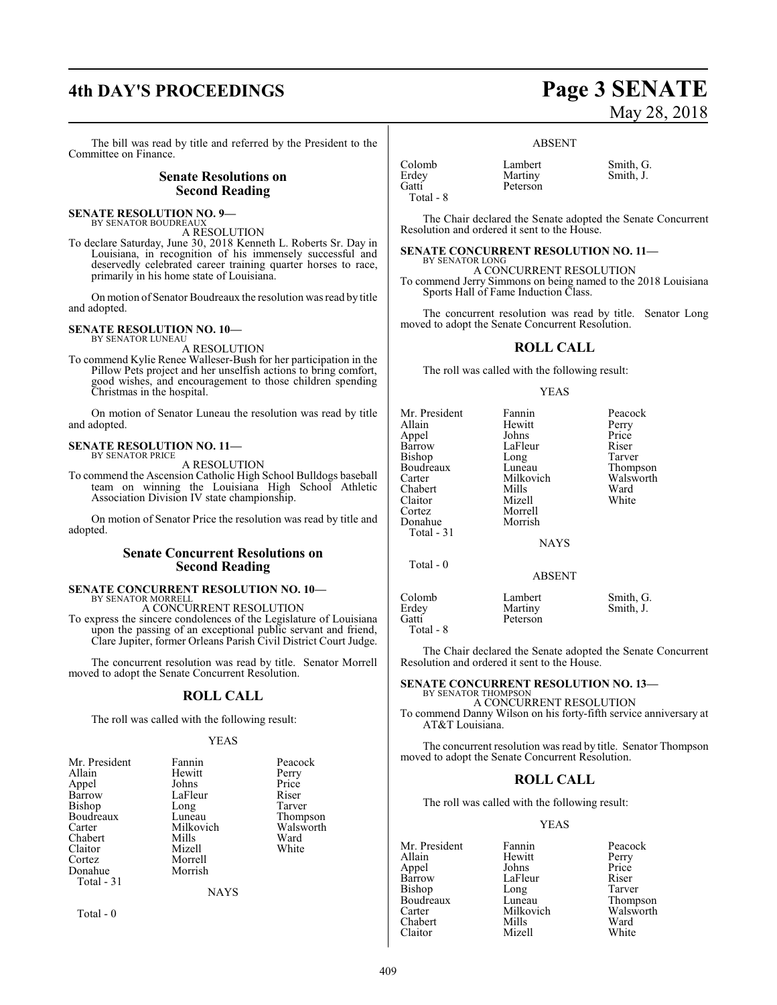## **4th DAY'S PROCEEDINGS Page 3 SENATE**

The bill was read by title and referred by the President to the Committee on Finance.

#### **Senate Resolutions on Second Reading**

#### **SENATE RESOLUTION NO. 9—** BY SENATOR BOUDREAUX

A RESOLUTION

To declare Saturday, June 30, 2018 Kenneth L. Roberts Sr. Day in Louisiana, in recognition of his immensely successful and deservedly celebrated career training quarter horses to race, primarily in his home state of Louisiana.

On motion of Senator Boudreaux the resolution was read by title and adopted.

#### **SENATE RESOLUTION NO. 10—**

BY SENATOR LUNEAU A RESOLUTION

To commend Kylie Renee Walleser-Bush for her participation in the Pillow Pets project and her unselfish actions to bring comfort, good wishes, and encouragement to those children spending Christmas in the hospital.

On motion of Senator Luneau the resolution was read by title and adopted.

#### **SENATE RESOLUTION NO. 11—** BY SENATOR PRICE

A RESOLUTION

To commend the Ascension Catholic High School Bulldogs baseball team on winning the Louisiana High School Athletic Association Division IV state championship.

On motion of Senator Price the resolution was read by title and adopted.

#### **Senate Concurrent Resolutions on Second Reading**

#### **SENATE CONCURRENT RESOLUTION NO. 10—** BY SENATOR MORRELL

A CONCURRENT RESOLUTION

To express the sincere condolences of the Legislature of Louisiana upon the passing of an exceptional public servant and friend, Clare Jupiter, former Orleans Parish Civil District Court Judge.

The concurrent resolution was read by title. Senator Morrell moved to adopt the Senate Concurrent Resolution.

#### **ROLL CALL**

The roll was called with the following result:

#### YEAS

| Mr. President<br>Allain<br>Appel<br>Barrow<br><b>Bishop</b><br>Boudreaux<br>Carter<br>Chabert<br>Claitor<br>Cortez<br>Donahue<br>Total $-31$ | Fannin<br>Hewitt<br>Johns<br>LaFleur<br>Long<br>Luneau<br>Milkovich<br>Mills<br>Mizell<br>Morrell<br>Morrish<br><b>NAYS</b> | Peacock<br>Perry<br>Price<br>Riser<br>Tarver<br>Thompson<br>Walsworth<br>Ward<br>White |
|----------------------------------------------------------------------------------------------------------------------------------------------|-----------------------------------------------------------------------------------------------------------------------------|----------------------------------------------------------------------------------------|
|                                                                                                                                              |                                                                                                                             |                                                                                        |

Total - 0

# May 28, 2018

#### ABSENT

Colomb Lambert Smith, G. Erdey Martiny<br>Gatti Petersor Total - 8

The Chair declared the Senate adopted the Senate Concurrent Resolution and ordered it sent to the House.

#### **SENATE CONCURRENT RESOLUTION NO. 11—** BY SENATOR LONG

Peterson

A CONCURRENT RESOLUTION To commend Jerry Simmons on being named to the 2018 Louisiana Sports Hall of Fame Induction Class.

The concurrent resolution was read by title. Senator Long moved to adopt the Senate Concurrent Resolution.

#### **ROLL CALL**

The roll was called with the following result:

#### YEAS

| Mr. President<br>Allain<br>Appel<br>Barrow<br><b>Bishop</b><br>Boudreaux<br>Carter<br>Chabert<br>Claitor<br>Cortez<br>Donahue | Fannin<br>Hewitt<br>Johns<br>LaFleur<br>Long<br>Luneau<br>Milkovich<br>Mills<br>Mizell<br>Morrell<br>Morrish | Peacock<br>Perry<br>Price<br>Riser<br>Tarver<br>Thompson<br>Walsworth<br>Ward<br>White |
|-------------------------------------------------------------------------------------------------------------------------------|--------------------------------------------------------------------------------------------------------------|----------------------------------------------------------------------------------------|
| Total $-31$                                                                                                                   | <b>NAYS</b>                                                                                                  |                                                                                        |
| Total - 0                                                                                                                     | <b>ABSENT</b>                                                                                                |                                                                                        |
| Colomb<br>Erdey<br>Gatti                                                                                                      | Lambert<br>Martiny<br>Peterson                                                                               | Smith, G.<br>Smith, J.                                                                 |

The Chair declared the Senate adopted the Senate Concurrent Resolution and ordered it sent to the House.

### **SENATE CONCURRENT RESOLUTION NO. 13—** BY SENATOR THOMPSON

A CONCURRENT RESOLUTION

To commend Danny Wilson on his forty-fifth service anniversary at AT&T Louisiana.

The concurrent resolution was read by title. Senator Thompson moved to adopt the Senate Concurrent Resolution.

#### **ROLL CALL**

The roll was called with the following result:

#### YEAS

Mr. President Fannin Peacock<br>Allain Hewitt Perry Appel Johns Price<br>Barrow LaFleur Riser Barrow Bishop Long Tarver Boudreaux Luneau Thompson<br>Carter Milkovich Walsworth Chabert Mills Ward<br>Claitor Mizell White Claitor

Total - 8

Hewitt Perry<br>Johns Price Milkovich Walsworth<br>
Mills Ward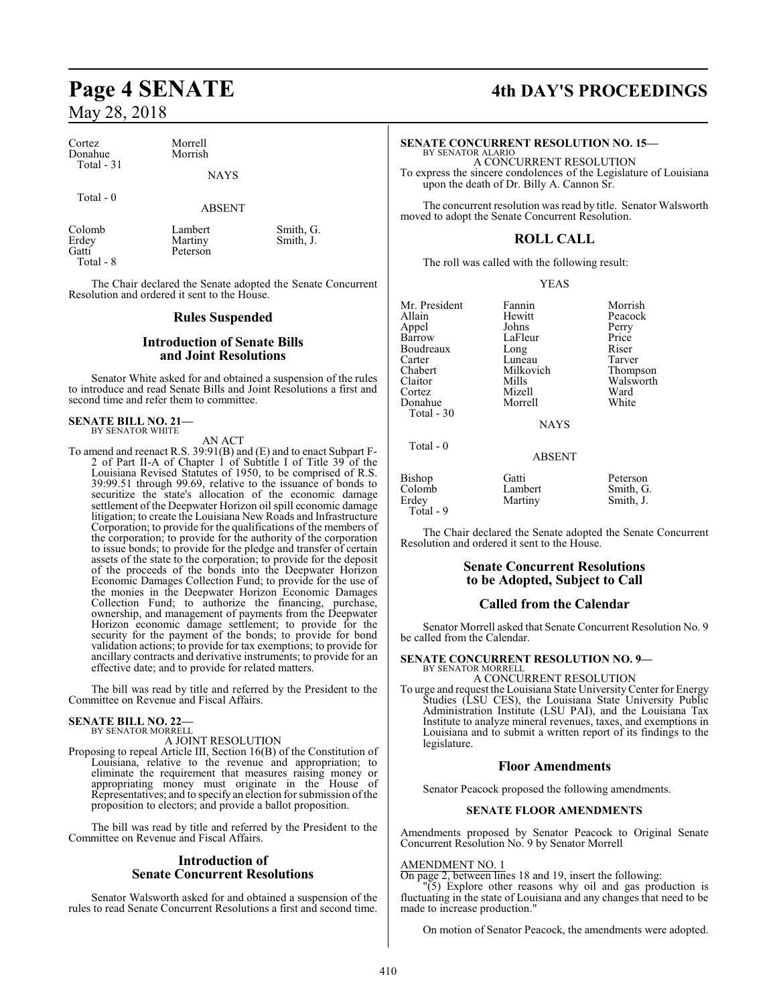## May 28, 2018

| Cortez      | Morrell     |
|-------------|-------------|
| Donahue     | Morrish     |
| Total $-31$ |             |
|             | <b>NAVS</b> |

#### Total - 0

ABSENT

Colomb Lambert Smith, G.<br>
Erdey Martiny Smith, J. Erdey Martiny Smith, J.<br>Gatti Peterson Total - 8

The Chair declared the Senate adopted the Senate Concurrent Resolution and ordered it sent to the House.

Peterson

#### **Rules Suspended**

#### **Introduction of Senate Bills and Joint Resolutions**

Senator White asked for and obtained a suspension of the rules to introduce and read Senate Bills and Joint Resolutions a first and second time and refer them to committee.

#### **SENATE BILL NO. 21—** BY SENATOR WHITE

AN ACT

To amend and reenact R.S. 39:91(B) and (E) and to enact Subpart F-2 of Part II-A of Chapter 1 of Subtitle I of Title 39 of the Louisiana Revised Statutes of 1950, to be comprised of R.S. 39:99.51 through 99.69, relative to the issuance of bonds to securitize the state's allocation of the economic damage settlement of the Deepwater Horizon oil spill economic damage litigation; to create the Louisiana New Roads and Infrastructure Corporation; to provide for the qualifications of the members of the corporation; to provide for the authority of the corporation to issue bonds; to provide for the pledge and transfer of certain assets of the state to the corporation; to provide for the deposit of the proceeds of the bonds into the Deepwater Horizon Economic Damages Collection Fund; to provide for the use of the monies in the Deepwater Horizon Economic Damages Collection Fund; to authorize the financing, purchase, ownership, and management of payments from the Deepwater Horizon economic damage settlement; to provide for the security for the payment of the bonds; to provide for bond validation actions; to provide for tax exemptions; to provide for ancillary contracts and derivative instruments; to provide for an effective date; and to provide for related matters.

The bill was read by title and referred by the President to the Committee on Revenue and Fiscal Affairs.

#### **SENATE BILL NO. 22—** BY SENATOR MORRELL

A JOINT RESOLUTION

Proposing to repeal Article III, Section 16(B) of the Constitution of Louisiana, relative to the revenue and appropriation; to eliminate the requirement that measures raising money or appropriating money must originate in the House of Representatives; and to specify an election for submission of the proposition to electors; and provide a ballot proposition.

The bill was read by title and referred by the President to the Committee on Revenue and Fiscal Affairs.

#### **Introduction of Senate Concurrent Resolutions**

Senator Walsworth asked for and obtained a suspension of the rules to read Senate Concurrent Resolutions a first and second time.

### **Page 4 SENATE 4th DAY'S PROCEEDINGS**

#### **SENATE CONCURRENT RESOLUTION NO. 15—**

BY SENATOR ALARIO A CONCURRENT RESOLUTION To express the sincere condolences of the Legislature of Louisiana upon the death of Dr. Billy A. Cannon Sr.

The concurrent resolution was read by title. Senator Walsworth moved to adopt the Senate Concurrent Resolution.

#### **ROLL CALL**

The roll was called with the following result:

#### YEAS

| Mr. President<br>Allain<br>Appel<br>Barrow<br>Boudreaux<br>Carter<br>Chabert<br>Claitor<br>Cortez<br>Donahue<br>Total $-30$ | Fannin<br>Hewitt<br>Johns<br>LaFleur<br>Long<br>Luneau<br>Milkovich<br>Mills<br>Mizell<br>Morrell<br><b>NAYS</b> | Morrish<br>Peacock<br>Perry<br>Price<br>Riser<br>Tarver<br>Thompson<br>Walsworth<br>Ward<br>White |
|-----------------------------------------------------------------------------------------------------------------------------|------------------------------------------------------------------------------------------------------------------|---------------------------------------------------------------------------------------------------|
|                                                                                                                             |                                                                                                                  |                                                                                                   |
| Total - 0                                                                                                                   | <b>ABSENT</b>                                                                                                    |                                                                                                   |

Bishop Gatti Peterson<br>Colomb Lambert Smith, G Colomb Lambert Smith, G.<br>
Erdey Martiny Smith, J. Martiny Total - 9

The Chair declared the Senate adopted the Senate Concurrent Resolution and ordered it sent to the House.

#### **Senate Concurrent Resolutions to be Adopted, Subject to Call**

#### **Called from the Calendar**

Senator Morrell asked that Senate Concurrent Resolution No. 9 be called from the Calendar.

#### **SENATE CONCURRENT RESOLUTION NO. 9—** BY SENATOR MORRELL

A CONCURRENT RESOLUTION

To urge and request the Louisiana State UniversityCenter for Energy Studies (LSU CES), the Louisiana State University Public Administration Institute (LSU PAI), and the Louisiana Tax Institute to analyze mineral revenues, taxes, and exemptions in Louisiana and to submit a written report of its findings to the legislature.

#### **Floor Amendments**

Senator Peacock proposed the following amendments.

#### **SENATE FLOOR AMENDMENTS**

Amendments proposed by Senator Peacock to Original Senate Concurrent Resolution No. 9 by Senator Morrell

#### AMENDMENT NO. 1

On page 2, between lines 18 and 19, insert the following:

"(5) Explore other reasons why oil and gas production is fluctuating in the state of Louisiana and any changes that need to be made to increase production."

On motion of Senator Peacock, the amendments were adopted.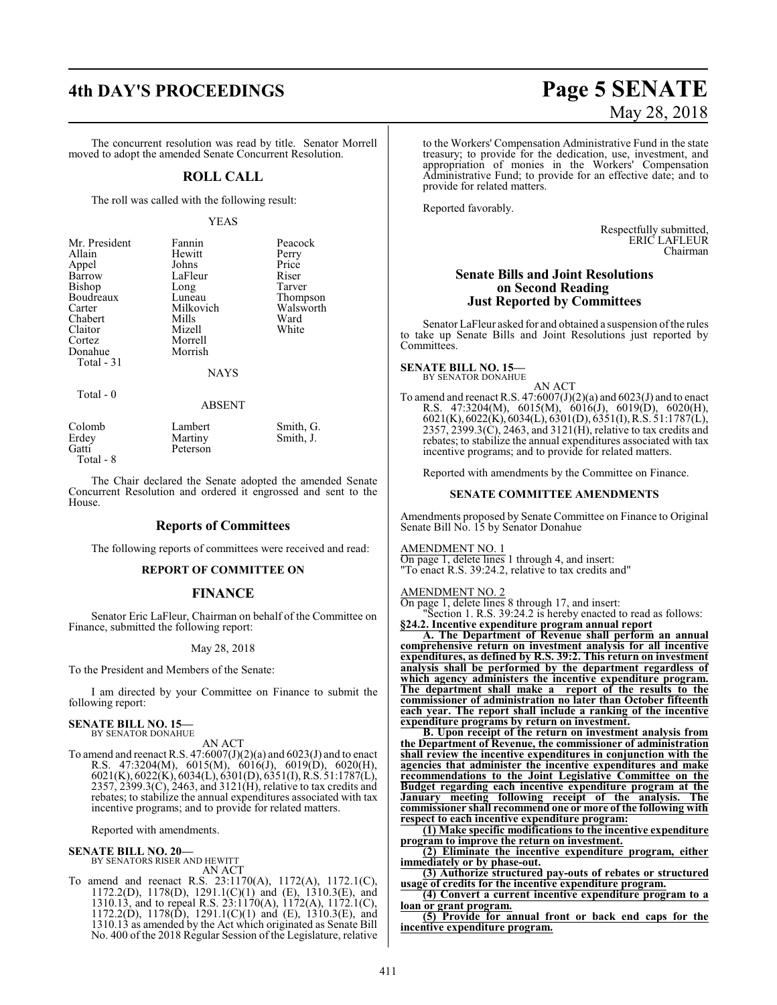## **4th DAY'S PROCEEDINGS Page 5 SENATE**

The concurrent resolution was read by title. Senator Morrell moved to adopt the amended Senate Concurrent Resolution.

#### **ROLL CALL**

The roll was called with the following result:

#### YEAS

| Mr. President | Fannin    | Peacock   |
|---------------|-----------|-----------|
| Allain        | Hewitt    | Perry     |
| Appel         | Johns     | Price     |
| Barrow        | LaFleur   | Riser     |
| Bishop        | Long      | Tarver    |
| Boudreaux     | Luneau    | Thompson  |
| Carter        | Milkovich | Walsworth |
| Chabert       | Mills     | Ward      |
| Claitor       | Mizell    | White     |
| Cortez        | Morrell   |           |
| Donahue       | Morrish   |           |
| Total - 31    |           |           |
|               | NAYS      |           |

Total - 0

ABSENT

| Colomb    | Lambert  | Smith, G. |
|-----------|----------|-----------|
| Erdey     | Martiny  | Smith, J. |
| Gatti     | Peterson |           |
| Total - 8 |          |           |

The Chair declared the Senate adopted the amended Senate Concurrent Resolution and ordered it engrossed and sent to the House.

#### **Reports of Committees**

The following reports of committees were received and read:

#### **REPORT OF COMMITTEE ON**

#### **FINANCE**

Senator Eric LaFleur, Chairman on behalf of the Committee on Finance, submitted the following report:

#### May 28, 2018

To the President and Members of the Senate:

I am directed by your Committee on Finance to submit the following report:

#### **SENATE BILL NO. 15—** BY SENATOR DONAHUE

AN ACT

To amend and reenact R.S. 47:6007(J)(2)(a) and 6023(J) and to enact R.S. 47:3204(M), 6015(M), 6016(J), 6019(D), 6020(H), 6021(K), 6022(K), 6034(L), 6301(D), 6351(I), R.S. 51:1787(L), 2357, 2399.3(C), 2463, and 3121(H), relative to tax credits and rebates; to stabilize the annual expenditures associated with tax incentive programs; and to provide for related matters.

Reported with amendments.

### **SENATE BILL NO. 20—** BY SENATORS RISER AND HEWITT

AN ACT

To amend and reenact R.S. 23:1170(A), 1172(A), 1172.1(C), 1172.2(D), 1178(D), 1291.1(C)(1) and (E), 1310.3(E), and 1310.13, and to repeal R.S. 23:1170(A), 1172(A), 1172.1(C), 1172.2(D), 1178(D), 1291.1(C)(1) and (E), 1310.3(E), and 1310.13 as amended by the Act which originated as Senate Bill No. 400 of the 2018 Regular Session of the Legislature, relative

# May 28, 2018

to the Workers' Compensation Administrative Fund in the state treasury; to provide for the dedication, use, investment, and appropriation of monies in the Workers' Compensation Administrative Fund; to provide for an effective date; and to provide for related matters.

Reported favorably.

Respectfully submitted, ERIC LAFLEUR Chairman

#### **Senate Bills and Joint Resolutions on Second Reading Just Reported by Committees**

Senator LaFleur asked for and obtained a suspension ofthe rules to take up Senate Bills and Joint Resolutions just reported by Committees.

### **SENATE BILL NO. 15—** BY SENATOR DONAHUE

AN ACT To amend and reenact R.S.  $47:6007(J)(2)(a)$  and  $6023(J)$  and to enact R.S. 47:3204(M), 6015(M), 6016(J), 6019(D), 6020(H), 6021(K), 6022(K), 6034(L), 6301(D), 6351(I), R.S. 51:1787(L), 2357, 2399.3(C), 2463, and 3121(H), relative to tax credits and rebates; to stabilize the annual expenditures associated with tax incentive programs; and to provide for related matters.

Reported with amendments by the Committee on Finance.

#### **SENATE COMMITTEE AMENDMENTS**

Amendments proposed by Senate Committee on Finance to Original Senate Bill No. 15 by Senator Donahue

#### AMENDMENT NO. 1

On page 1, delete lines 1 through 4, and insert: "To enact R.S. 39:24.2, relative to tax credits and"

#### AMENDMENT NO. 2

On page 1, delete lines 8 through 17, and insert:

"Section 1. R.S. 39:24.2 is hereby enacted to read as follows: **§24.2. Incentive expenditure program annual report**

**A. The Department of Revenue shall perform an annual comprehensive return on investment analysis for all incentive expenditures, as defined by R.S. 39:2. This return on investment analysis shall be performed by the department regardless of which agency administers the incentive expenditure program. The department shall make a report of the results to the commissioner of administration no later than October fifteenth each year. The report shall include a ranking of the incentive expenditure programs by return on investment.** 

**B. Upon receipt of the return on investment analysis from the Department of Revenue, the commissioner of administration shall review the incentive expenditures in conjunction with the agencies that administer the incentive expenditures and make recommendations to the Joint Legislative Committee on the Budget regarding each incentive expenditure program at the January meeting following receipt of the analysis. The commissioner shall recommend one or more of the following with respect to each incentive expenditure program:**

**(1) Make specific modifications to the incentive expenditure program to improve the return on investment.**

**(2) Eliminate the incentive expenditure program, either immediately or by phase-out.**

**(3) Authorize structured pay-outs of rebates or structured usage of credits for the incentive expenditure program.**

**(4) Convert a current incentive expenditure program to a loan or grant program.**

**(5) Provide for annual front or back end caps for the incentive expenditure program.**